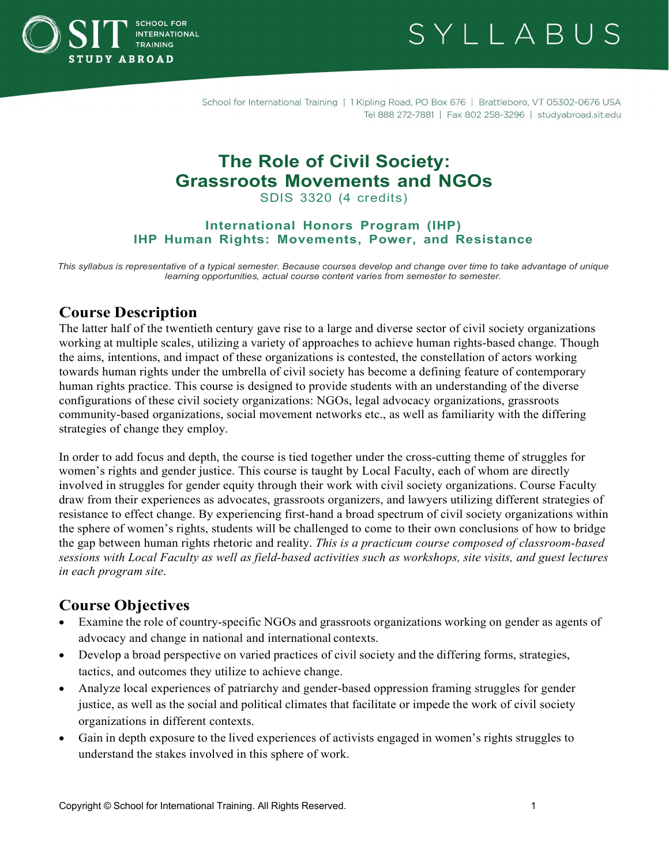

SYLLABUS

School for International Training | 1 Kipling Road, PO Box 676 | Brattleboro, VT 05302-0676 USA Tel 888 272-7881 | Fax 802 258-3296 | studyabroad.sit.edu

# **The Role of Civil Society: Grassroots Movements and NGOs**

SDIS 3320 (4 credits)

#### **International Honors Program (IHP) IHP Human Rights: Movements, Power, and Resistance**

*This syllabus is representative of a typical semester. Because courses develop and change over time to take advantage of unique learning opportunities, actual course content varies from semester to semester.*

## **Course Description**

The latter half of the twentieth century gave rise to a large and diverse sector of civil society organizations working at multiple scales, utilizing a variety of approaches to achieve human rights-based change. Though the aims, intentions, and impact of these organizations is contested, the constellation of actors working towards human rights under the umbrella of civil society has become a defining feature of contemporary human rights practice. This course is designed to provide students with an understanding of the diverse configurations of these civil society organizations: NGOs, legal advocacy organizations, grassroots community-based organizations, social movement networks etc., as well as familiarity with the differing strategies of change they employ.

In order to add focus and depth, the course is tied together under the cross-cutting theme of struggles for women's rights and gender justice. This course is taught by Local Faculty, each of whom are directly involved in struggles for gender equity through their work with civil society organizations. Course Faculty draw from their experiences as advocates, grassroots organizers, and lawyers utilizing different strategies of resistance to effect change. By experiencing first-hand a broad spectrum of civil society organizations within the sphere of women's rights, students will be challenged to come to their own conclusions of how to bridge the gap between human rights rhetoric and reality. *This is a practicum course composed of classroom-based sessions with Local Faculty as well as field-based activities such as workshops, site visits, and guest lectures in each program site*.

## **Course Objectives**

- Examine the role of country-specific NGOs and grassroots organizations working on gender as agents of advocacy and change in national and international contexts.
- Develop a broad perspective on varied practices of civil society and the differing forms, strategies, tactics, and outcomes they utilize to achieve change.
- Analyze local experiences of patriarchy and gender-based oppression framing struggles for gender justice, as well as the social and political climates that facilitate or impede the work of civil society organizations in different contexts.
- Gain in depth exposure to the lived experiences of activists engaged in women's rights struggles to understand the stakes involved in this sphere of work.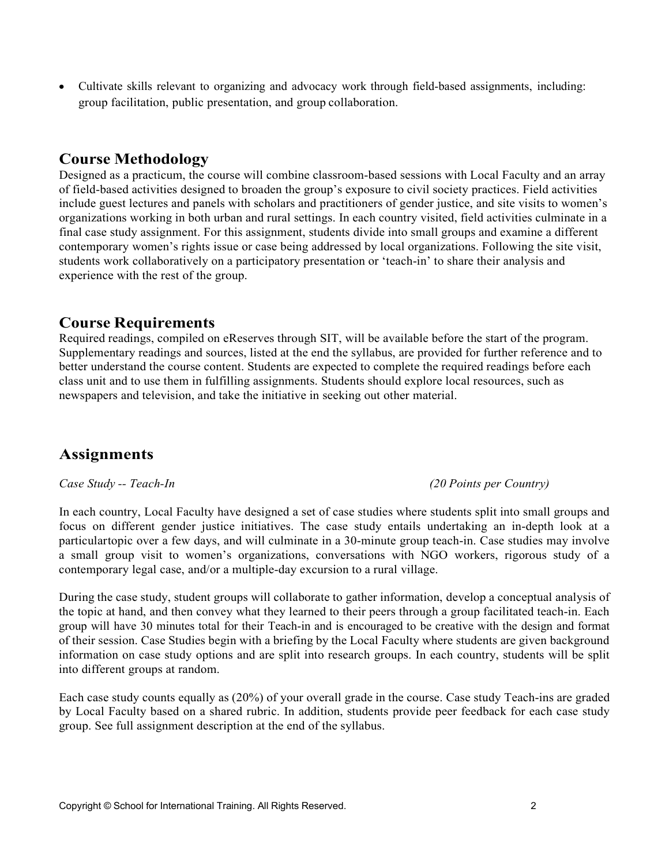• Cultivate skills relevant to organizing and advocacy work through field-based assignments, including: group facilitation, public presentation, and group collaboration.

## **Course Methodology**

Designed as a practicum, the course will combine classroom-based sessions with Local Faculty and an array of field-based activities designed to broaden the group's exposure to civil society practices. Field activities include guest lectures and panels with scholars and practitioners of gender justice, and site visits to women's organizations working in both urban and rural settings. In each country visited, field activities culminate in a final case study assignment. For this assignment, students divide into small groups and examine a different contemporary women's rights issue or case being addressed by local organizations. Following the site visit, students work collaboratively on a participatory presentation or 'teach-in' to share their analysis and experience with the rest of the group.

## **Course Requirements**

Required readings, compiled on eReserves through SIT, will be available before the start of the program. Supplementary readings and sources, listed at the end the syllabus, are provided for further reference and to better understand the course content. Students are expected to complete the required readings before each class unit and to use them in fulfilling assignments. Students should explore local resources, such as newspapers and television, and take the initiative in seeking out other material.

## **Assignments**

### *Case Study -- Teach-In (20 Points per Country)*

In each country, Local Faculty have designed a set of case studies where students split into small groups and focus on different gender justice initiatives. The case study entails undertaking an in-depth look at a particulartopic over a few days, and will culminate in a 30-minute group teach-in. Case studies may involve a small group visit to women's organizations, conversations with NGO workers, rigorous study of a contemporary legal case, and/or a multiple-day excursion to a rural village.

During the case study, student groups will collaborate to gather information, develop a conceptual analysis of the topic at hand, and then convey what they learned to their peers through a group facilitated teach-in. Each group will have 30 minutes total for their Teach-in and is encouraged to be creative with the design and format of their session. Case Studies begin with a briefing by the Local Faculty where students are given background information on case study options and are split into research groups. In each country, students will be split into different groups at random.

Each case study counts equally as (20%) of your overall grade in the course. Case study Teach-ins are graded by Local Faculty based on a shared rubric. In addition, students provide peer feedback for each case study group. See full assignment description at the end of the syllabus.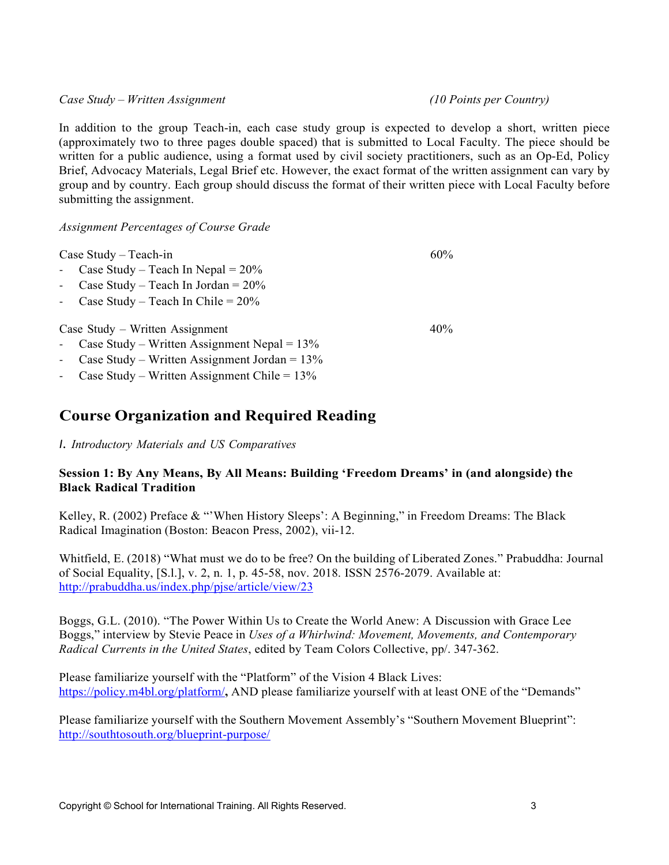*Case Study – Written Assignment (10 Points per Country)*

In addition to the group Teach-in, each case study group is expected to develop a short, written piece (approximately two to three pages double spaced) that is submitted to Local Faculty. The piece should be written for a public audience, using a format used by civil society practitioners, such as an Op-Ed, Policy Brief, Advocacy Materials, Legal Brief etc. However, the exact format of the written assignment can vary by group and by country. Each group should discuss the format of their written piece with Local Faculty before submitting the assignment.

*Assignment Percentages of Course Grade*

Case Study – Teach-in

- Case Study Teach In Nepal  $= 20\%$
- Case Study Teach In Jordan =  $20\%$
- Case Study Teach In Chile =  $20\%$

Case Study – Written Assignment

- Case Study Written Assignment Nepal =  $13\%$
- Case Study Written Assignment Jordan =  $13\%$
- Case Study Written Assignment Chile =  $13\%$

## **Course Organization and Required Reading**

*I. Introductory Materials and US Comparatives*

### **Session 1: By Any Means, By All Means: Building 'Freedom Dreams' in (and alongside) the Black Radical Tradition**

Kelley, R. (2002) Preface & "'When History Sleeps': A Beginning," in Freedom Dreams: The Black Radical Imagination (Boston: Beacon Press, 2002), vii-12.

Whitfield, E. (2018) "What must we do to be free? On the building of Liberated Zones." Prabuddha: Journal of Social Equality, [S.l.], v. 2, n. 1, p. 45-58, nov. 2018. ISSN 2576-2079. Available at: <http://prabuddha.us/index.php/pjse/article/view/23>

Boggs, G.L. (2010). "The Power Within Us to Create the World Anew: A Discussion with Grace Lee Boggs," interview by Stevie Peace in *Uses of a Whirlwind: Movement, Movements, and Contemporary Radical Currents in the United States*, edited by Team Colors Collective, pp/. 347-362.

Please familiarize yourself with the "Platform" of the Vision 4 Black Lives: https://policy.m4bl.org/platform/**,** AND please familiarize yourself with at least ONE of the "Demands"

Please familiarize yourself with the Southern Movement Assembly's "Southern Movement Blueprint": <http://southtosouth.org/blueprint-purpose/>

40%

60%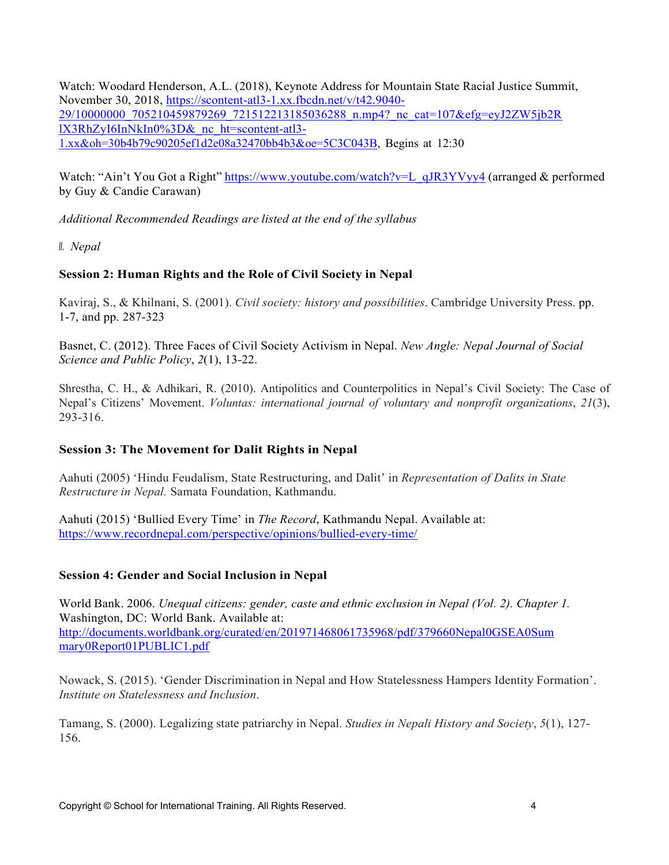Watch: Woodard Henderson, A.L. (2018), Keynote Address for Mountain State Racial Justice Summit, November 30, 2018, https://scontent-atl3-1.xx.fbcdn.net/v/t42.9040- 29/10000000\_705210459879269\_721512213185036288\_n.mp4?\_nc\_cat=107&efg=eyJ2ZW5jb2R lX3RhZyI6InNkIn0%3D&\_nc\_ht=scontent-atl3- 1.xx&oh=30b4b79c90205ef1d2e08a32470bb4b3&oe=5C3C043B, Begins at 12:30

Watch: "Ain't You Got a Right" https:/[/www.youtube.com/watch?v=L\\_qJR3YVyy4](http://www.youtube.com/watch?v=L_qJR3YVyy4) (arranged & performed by Guy & Candie Carawan)

*Additional Recommended Readings are listed at the end of the syllabus*

*II. Nepal*

### **Session 2: Human Rights and the Role of Civil Society in Nepal**

Kaviraj, S., & Khilnani, S. (2001). *Civil society: history and possibilities*. Cambridge University Press. pp. 1-7, and pp. 287-323

Basnet, C. (2012). Three Faces of Civil Society Activism in Nepal. *New Angle: Nepal Journal of Social Science and Public Policy*, *2*(1), 13-22.

Shrestha, C. H., & Adhikari, R. (2010). Antipolitics and Counterpolitics in Nepal's Civil Society: The Case of Nepal's Citizens' Movement. *Voluntas: international journal of voluntary and nonprofit organizations*, *21*(3), 293-316.

### **Session 3: The Movement for Dalit Rights in Nepal**

Aahuti (2005) 'Hindu Feudalism, State Restructuring, and Dalit' in *Representation of Dalits in State Restructure in Nepal.* Samata Foundation, Kathmandu.

Aahuti (2015) 'Bullied Every Time' in *The Record*, Kathmandu Nepal. Available at: https:/[/www.recordnepal.com/perspective/opinions/bullied-every-time/](http://www.recordnepal.com/perspective/opinions/bullied-every-time/)

### **Session 4: Gender and Social Inclusion in Nepal**

World Bank. 2006. *Unequal citizens: gender, caste and ethnic exclusion in Nepal (Vol. 2). Chapter 1.* Washington, DC: World Bank. Available at: <http://documents.worldbank.org/curated/en/201971468061735968/pdf/379660Nepal0GSEA0Sum> mary0Report01PUBLIC1.pdf

Nowack, S. (2015). 'Gender Discrimination in Nepal and How Statelessness Hampers Identity Formation'. *Institute on Statelessness and Inclusion*.

Tamang, S. (2000). Legalizing state patriarchy in Nepal. *Studies in Nepali History and Society*, *5*(1), 127- 156.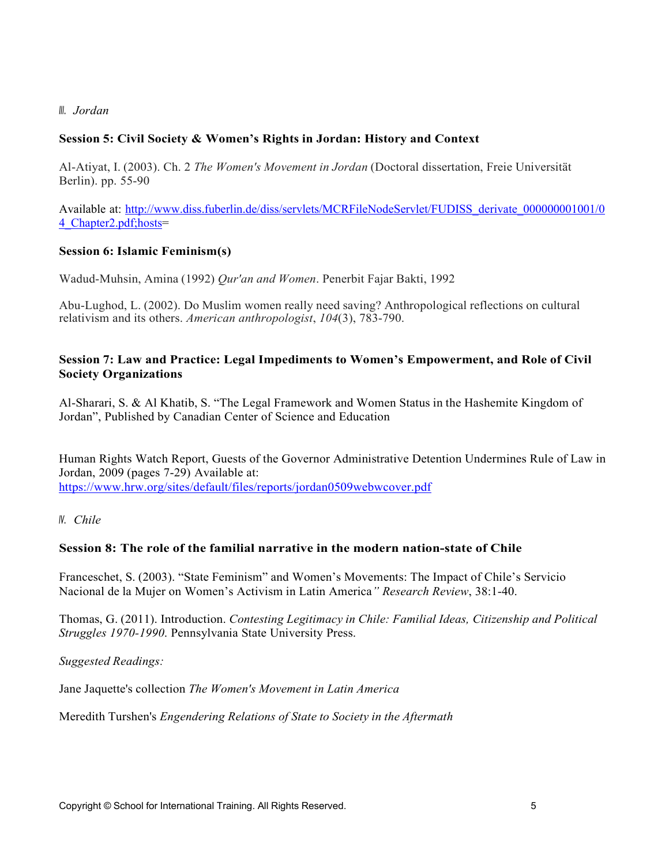#### *III. Jordan*

#### **Session 5: Civil Society & Women's Rights in Jordan: History and Context**

Al-Atiyat, I. (2003). Ch. 2 *The Women's Movement in Jordan* (Doctoral dissertation, Freie Universität Berlin). pp. 55-90

Available at: [http://www.diss.fuberlin.de/diss/servlets/MCRFileNodeServlet/FUDISS\\_derivate\\_000000001001/0](http://www.diss.fuberlin.de/diss/servlets/MCRFileNodeServlet/FUDISS_derivate_000000001001/0) 4\_Chapter2.pdf;hosts=

#### **Session 6: Islamic Feminism(s)**

Wadud-Muhsin, Amina (1992) *Qur'an and Women*. Penerbit Fajar Bakti, 1992

Abu-Lughod, L. (2002). Do Muslim women really need saving? Anthropological reflections on cultural relativism and its others. *American anthropologist*, *104*(3), 783-790.

#### **Session 7: Law and Practice: Legal Impediments to Women's Empowerment, and Role of Civil Society Organizations**

Al-Sharari, S. & Al Khatib, S. "The Legal Framework and Women Status in the Hashemite Kingdom of Jordan", Published by Canadian Center of Science and Education

Human Rights Watch Report, Guests of the Governor Administrative Detention Undermines Rule of Law in Jordan, 2009 (pages 7-29) Available at: https:/[/www.hrw.org/sites/default/files/reports/jordan0509webwcover.pdf](http://www.hrw.org/sites/default/files/reports/jordan0509webwcover.pdf)

*IV. Chile*

#### **Session 8: The role of the familial narrative in the modern nation-state of Chile**

Franceschet, S. (2003). "State Feminism" and Women's Movements: The Impact of Chile's Servicio Nacional de la Mujer on Women's Activism in Latin America*" Research Review*, 38:1-40.

Thomas, G. (2011). Introduction. *Contesting Legitimacy in Chile: Familial Ideas, Citizenship and Political Struggles 1970-1990*. Pennsylvania State University Press.

*Suggested Readings:*

Jane Jaquette's collection *The Women's Movement in Latin America*

Meredith Turshen's *Engendering Relations of State to Society in the Aftermath*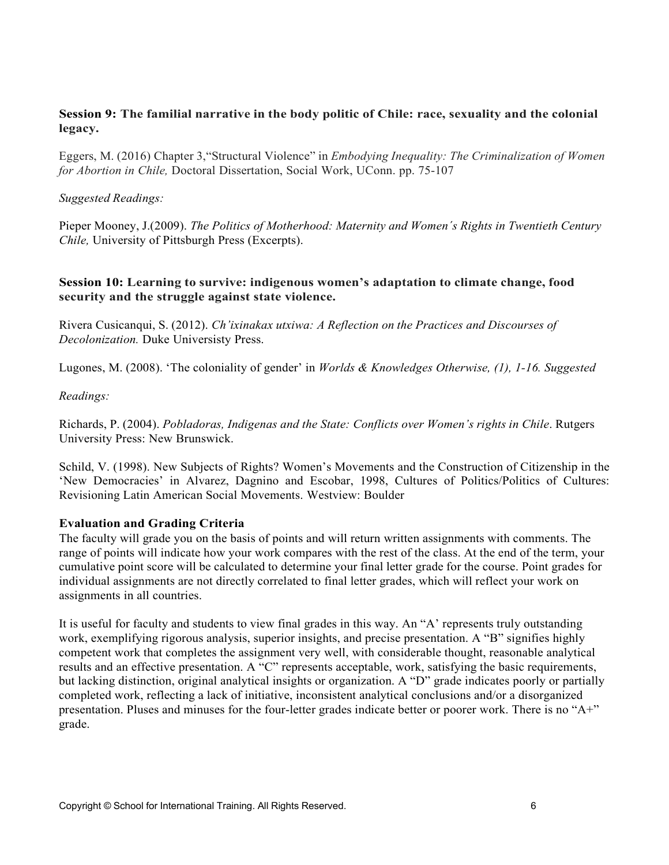### **Session 9: The familial narrative in the body politic of Chile: race, sexuality and the colonial legacy.**

Eggers, M. (2016) Chapter 3,"Structural Violence" in *Embodying Inequality: The Criminalization of Women for Abortion in Chile,* Doctoral Dissertation, Social Work, UConn. pp. 75-107

#### *Suggested Readings:*

Pieper Mooney, J.(2009). *The Politics of Motherhood: Maternity and Women´s Rights in Twentieth Century Chile,* University of Pittsburgh Press (Excerpts).

#### **Session 10: Learning to survive: indigenous women's adaptation to climate change, food security and the struggle against state violence.**

Rivera Cusicanqui, S. (2012). *Ch'ixinakax utxiwa: A Reflection on the Practices and Discourses of Decolonization.* Duke Universisty Press.

Lugones, M. (2008). 'The coloniality of gender' in *Worlds & Knowledges Otherwise, (1), 1-16. Suggested*

#### *Readings:*

Richards, P. (2004). *Pobladoras, Indigenas and the State: Conflicts over Women's rights in Chile*. Rutgers University Press: New Brunswick.

Schild, V. (1998). New Subjects of Rights? Women's Movements and the Construction of Citizenship in the 'New Democracies' in Alvarez, Dagnino and Escobar, 1998, Cultures of Politics/Politics of Cultures: Revisioning Latin American Social Movements. Westview: Boulder

#### **Evaluation and Grading Criteria**

The faculty will grade you on the basis of points and will return written assignments with comments. The range of points will indicate how your work compares with the rest of the class. At the end of the term, your cumulative point score will be calculated to determine your final letter grade for the course. Point grades for individual assignments are not directly correlated to final letter grades, which will reflect your work on assignments in all countries.

It is useful for faculty and students to view final grades in this way. An "A' represents truly outstanding work, exemplifying rigorous analysis, superior insights, and precise presentation. A "B" signifies highly competent work that completes the assignment very well, with considerable thought, reasonable analytical results and an effective presentation. A "C" represents acceptable, work, satisfying the basic requirements, but lacking distinction, original analytical insights or organization. A "D" grade indicates poorly or partially completed work, reflecting a lack of initiative, inconsistent analytical conclusions and/or a disorganized presentation. Pluses and minuses for the four-letter grades indicate better or poorer work. There is no "A+" grade.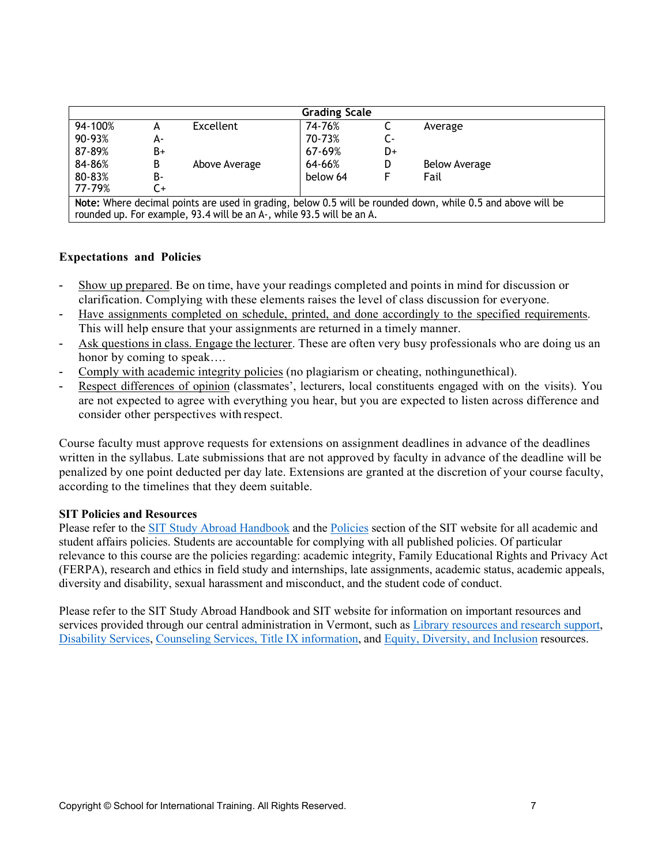| <b>Grading Scale</b>                                                                                        |    |               |          |    |                      |  |  |
|-------------------------------------------------------------------------------------------------------------|----|---------------|----------|----|----------------------|--|--|
| 94-100%                                                                                                     | А  | Excellent     | 74-76%   |    | Average              |  |  |
| 90-93%                                                                                                      | А- |               | 70-73%   | C- |                      |  |  |
| 87-89%                                                                                                      | B+ |               | 67-69%   | D+ |                      |  |  |
| 84-86%                                                                                                      | B  | Above Average | 64-66%   | D  | <b>Below Average</b> |  |  |
| 80-83%                                                                                                      | B- |               | below 64 |    | Fail                 |  |  |
| 77-79%                                                                                                      | C+ |               |          |    |                      |  |  |
| Note: Where decimal points are used in grading, below 0.5 will be rounded down, while 0.5 and above will be |    |               |          |    |                      |  |  |
| rounded up. For example, 93.4 will be an A-, while 93.5 will be an A.                                       |    |               |          |    |                      |  |  |

#### **Expectations and Policies**

- Show up prepared. Be on time, have your readings completed and points in mind for discussion or clarification. Complying with these elements raises the level of class discussion for everyone.
- Have assignments completed on schedule, printed, and done accordingly to the specified requirements. This will help ensure that your assignments are returned in a timely manner.
- Ask questions in class. Engage the lecturer. These are often very busy professionals who are doing us an honor by coming to speak….
- Comply with academic integrity policies (no plagiarism or cheating, nothingunethical).
- Respect differences of opinion (classmates', lecturers, local constituents engaged with on the visits). You are not expected to agree with everything you hear, but you are expected to listen across difference and consider other perspectives with respect.

Course faculty must approve requests for extensions on assignment deadlines in advance of the deadlines written in the syllabus. Late submissions that are not approved by faculty in advance of the deadline will be penalized by one point deducted per day late. Extensions are granted at the discretion of your course faculty, according to the timelines that they deem suitable.

#### **SIT Policies and Resources**

Please refer to the [SIT Study Abroad Handbook a](https://studyabroad.sit.edu/Student-Handbook/)nd the [Policies](https://studyabroad.sit.edu/admitted-students/policies/) section of the SIT website for all academic and student affairs policies. Students are accountable for complying with all published policies. Of particular relevance to this course are the policies regarding: academic integrity, Family Educational Rights and Privacy Act (FERPA), research and ethics in field study and internships, late assignments, academic status, academic appeals, diversity and disability, sexual harassment and misconduct, and the student code of conduct.

Please refer to the SIT Study Abroad Handbook and SIT website for information on important resources and services provided through our central administration in Vermont, such as [Library resources and research support,](https://studyabroad.sit.edu/admitted-students/student-resources/) Disability [Services,](https://studyabroad.sit.edu/health-safety-and-well-being/disability-services/) [Counseling Services,](https://studyabroad.sit.edu/health-safety-and-well-being/counseling-and-mental-health/) Title IX [information,](https://studyabroad.sit.edu/health-safety-and-well-being/sexual-safety-title-ix/) an[d Equity, Diversity, and Inclusion r](https://studyabroad.sit.edu/health-safety-and-well-being/social-identity/)esources.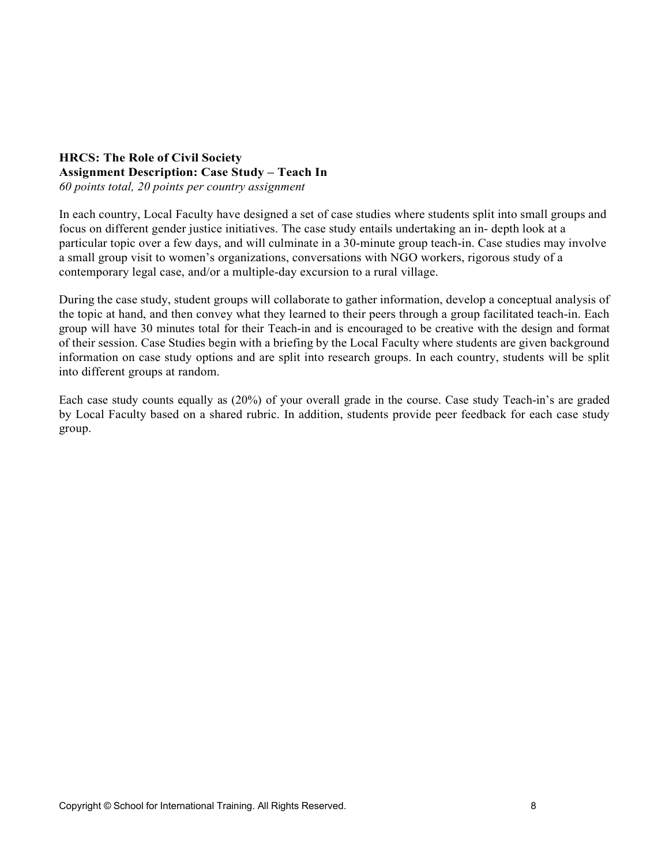## **HRCS: The Role of Civil Society Assignment Description: Case Study – Teach In**

*60 points total, 20 points per country assignment*

In each country, Local Faculty have designed a set of case studies where students split into small groups and focus on different gender justice initiatives. The case study entails undertaking an in- depth look at a particular topic over a few days, and will culminate in a 30-minute group teach-in. Case studies may involve a small group visit to women's organizations, conversations with NGO workers, rigorous study of a contemporary legal case, and/or a multiple-day excursion to a rural village.

During the case study, student groups will collaborate to gather information, develop a conceptual analysis of the topic at hand, and then convey what they learned to their peers through a group facilitated teach-in. Each group will have 30 minutes total for their Teach-in and is encouraged to be creative with the design and format of their session. Case Studies begin with a briefing by the Local Faculty where students are given background information on case study options and are split into research groups. In each country, students will be split into different groups at random.

Each case study counts equally as (20%) of your overall grade in the course. Case study Teach-in's are graded by Local Faculty based on a shared rubric. In addition, students provide peer feedback for each case study group.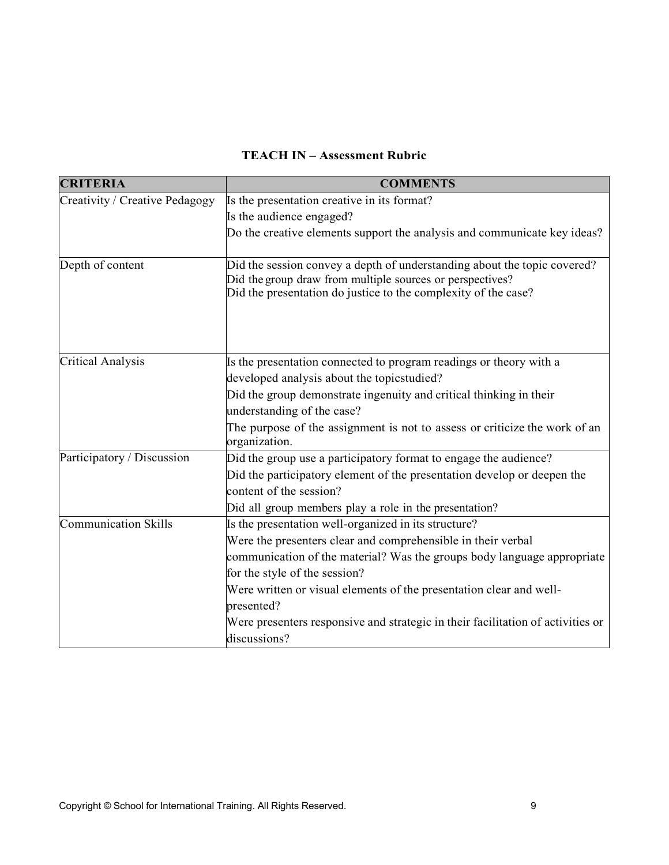## **TEACH IN – Assessment Rubric**

| <b>CRITERIA</b>                | <b>COMMENTS</b>                                                                                                                                                                                         |
|--------------------------------|---------------------------------------------------------------------------------------------------------------------------------------------------------------------------------------------------------|
| Creativity / Creative Pedagogy | Is the presentation creative in its format?                                                                                                                                                             |
|                                | Is the audience engaged?                                                                                                                                                                                |
|                                | Do the creative elements support the analysis and communicate key ideas?                                                                                                                                |
| Depth of content               | Did the session convey a depth of understanding about the topic covered?<br>Did the group draw from multiple sources or perspectives?<br>Did the presentation do justice to the complexity of the case? |
| <b>Critical Analysis</b>       | Is the presentation connected to program readings or theory with a<br>developed analysis about the topicstudied?                                                                                        |
|                                | Did the group demonstrate ingenuity and critical thinking in their                                                                                                                                      |
|                                | understanding of the case?                                                                                                                                                                              |
|                                | The purpose of the assignment is not to assess or criticize the work of an<br>organization.                                                                                                             |
| Participatory / Discussion     | Did the group use a participatory format to engage the audience?                                                                                                                                        |
|                                | Did the participatory element of the presentation develop or deepen the                                                                                                                                 |
|                                | content of the session?                                                                                                                                                                                 |
|                                | Did all group members play a role in the presentation?                                                                                                                                                  |
| Communication Skills           | Is the presentation well-organized in its structure?                                                                                                                                                    |
|                                | Were the presenters clear and comprehensible in their verbal                                                                                                                                            |
|                                | communication of the material? Was the groups body language appropriate                                                                                                                                 |
|                                | for the style of the session?                                                                                                                                                                           |
|                                | Were written or visual elements of the presentation clear and well-                                                                                                                                     |
|                                | presented?                                                                                                                                                                                              |
|                                | Were presenters responsive and strategic in their facilitation of activities or                                                                                                                         |
|                                | discussions?                                                                                                                                                                                            |